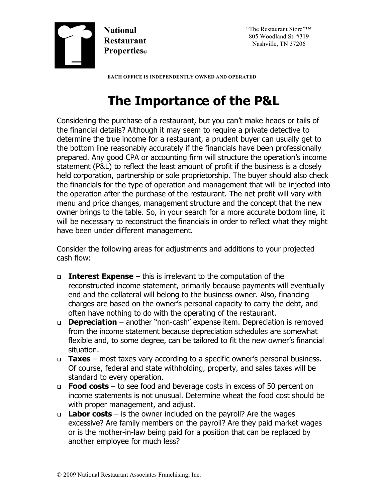

"The Restaurant Store"™ 805 Woodland St. #319 Nashville, TN 37206

 **EACH OFFICE IS INDEPENDENTLY OWNED AND OPERATED**

## **The Importance of the P&L**

Considering the purchase of a restaurant, but you can't make heads or tails of the financial details? Although it may seem to require a private detective to determine the true income for a restaurant, a prudent buyer can usually get to the bottom line reasonably accurately if the financials have been professionally prepared. Any good CPA or accounting firm will structure the operation's income statement (P&L) to reflect the least amount of profit if the business is a closely held corporation, partnership or sole proprietorship. The buyer should also check the financials for the type of operation and management that will be injected into the operation after the purchase of the restaurant. The net profit will vary with menu and price changes, management structure and the concept that the new owner brings to the table. So, in your search for a more accurate bottom line, it will be necessary to reconstruct the financials in order to reflect what they might have been under different management.

Consider the following areas for adjustments and additions to your projected cash flow:

- <sup>q</sup> **Interest Expense** this is irrelevant to the computation of the reconstructed income statement, primarily because payments will eventually end and the collateral will belong to the business owner. Also, financing charges are based on the owner's personal capacity to carry the debt, and often have nothing to do with the operating of the restaurant.
- <sup>q</sup> **Depreciation** another "non-cash" expense item. Depreciation is removed from the income statement because depreciation schedules are somewhat flexible and, to some degree, can be tailored to fit the new owner's financial situation.
- <sup>q</sup> **Taxes** most taxes vary according to a specific owner's personal business. Of course, federal and state withholding, property, and sales taxes will be standard to every operation.
- <sup>q</sup> **Food costs** to see food and beverage costs in excess of 50 percent on income statements is not unusual. Determine wheat the food cost should be with proper management, and adjust.
- <sup>q</sup> **Labor costs** is the owner included on the payroll? Are the wages excessive? Are family members on the payroll? Are they paid market wages or is the mother-in-law being paid for a position that can be replaced by another employee for much less?